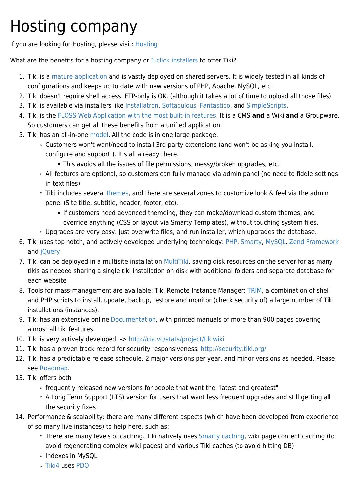## Hosting company

If you are looking for Hosting, please visit: [Hosting](http://info.tiki.org/Hosting)

What are the benefits for a hosting company or [1-click installers](https://tiki.org/1-click-installers) to offer Tiki?

- 1. Tiki is a [mature application](http://info.tiki.org/article176-Happy-Birthday-Tiki) and is vastly deployed on shared servers. It is widely tested in all kinds of configurations and keeps up to date with new versions of PHP, Apache, MySQL, etc
- 2. Tiki doesn't require shell access. FTP-only is OK. (although it takes a lot of time to upload all those files)
- 3. Tiki is available via installers like [Installatron,](https://tiki.org/Installatron) [Softaculous,](https://tiki.org/Softaculous) [Fantastico](https://tiki.org/Fantastico), and [SimpleScripts](https://tiki.org/SimpleScripts).
- 4. Tiki is the [FLOSS Web Application with the most built-in features.](https://tiki.org/FLOSS-Web-Application-with-the-most-built-in-features) It is a CMS **and** a Wiki **and** a Groupware. So customers can get all these benefits from a unified application.
- 5. Tiki has an all-in-one [model.](https://tiki.org/Model) All the code is in one large package.
	- Customers won't want/need to install 3rd party extensions (and won't be asking you install, configure and support!). It's all already there.
		- This avoids all the issues of file permissions, messy/broken upgrades, etc.
	- All features are optional, so customers can fully manage via admin panel (no need to fiddle settings in text files)
	- o Tiki includes several [themes](http://themes.tiki.org), and there are several zones to customize look & feel via the admin panel (Site title, subtitle, header, footer, etc).
		- If customers need advanced themeing, they can make/download custom themes, and override anything (CSS or layout via Smarty Templates), without touching system files.
	- Upgrades are very easy. Just overwrite files, and run installer, which upgrades the database.
- 6. Tiki uses top notch, and actively developed underlying technology: [PHP](http://php.net), [Smarty](http://smarty.net), [MySQL,](http://www.mysql.com) [Zend Framework](http://framework.zend.com) and [jQuery](http://jquery.com)
- 7. Tiki can be deployed in a multisite installation [MultiTiki,](http://doc.tiki.org/MultiTiki) saving disk resources on the server for as many tikis as needed sharing a single tiki installation on disk with additional folders and separate database for each website.
- 8. Tools for mass-management are available: Tiki Remote Instance Manager: [TRIM](http://doc.tiki.org/TRIM), a combination of shell and PHP scripts to install, update, backup, restore and monitor (check security of) a large number of Tiki installations (instances).
- 9. Tiki has an extensive online [Documentation](http://doc.tiki.org/Documentation), with printed manuals of more than 900 pages covering almost all tiki features.
- 10. Tiki is very actively developed. -><http://cia.vc/stats/project/tikiwiki>
- 11. Tiki has a proven track record for security responsiveness. <http://security.tiki.org/>
- 12. Tiki has a predictable release schedule. 2 major versions per year, and minor versions as needed. Please see [Roadmap.](http://dev.tiki.org/Roadmap)
- 13. Tiki offers both
	- frequently released new versions for people that want the "latest and greatest"
	- A Long Term Support (LTS) version for users that want less frequent upgrades and still getting all the security fixes
- 14. Performance & scalability: there are many different aspects (which have been developed from experience of so many live instances) to help here, such as:
	- There are many levels of caching. Tiki natively uses [Smarty caching,](http://www.smarty.net/manual/en/caching.php) wiki page content caching (to avoid regenerating complex wiki pages) and various Tiki caches (to avoid hitting DB)
	- o Indexes in MySQL
	- [Tiki4](http://doc.tiki.org/Tiki4) uses [PDO](http://php.net/pdo)